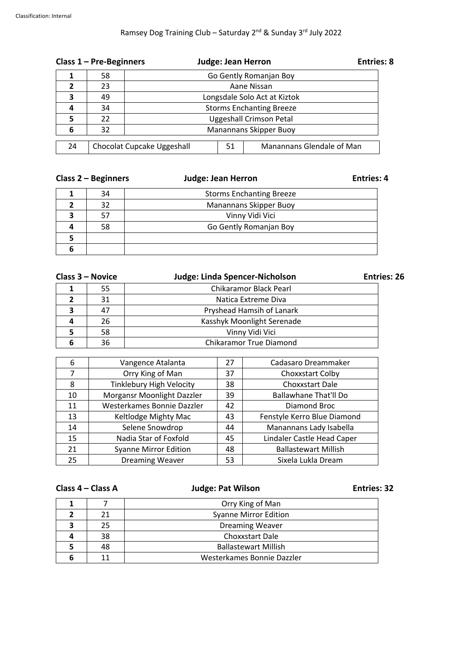# Ramsey Dog Training Club – Saturday 2<sup>nd</sup> & Sunday 3<sup>rd</sup> July 2022

| Class $1 - Pre-Beginners$ |    |                                 | <b>Entries: 8</b><br><b>Judge: Jean Herron</b> |                           |  |  |  |  |
|---------------------------|----|---------------------------------|------------------------------------------------|---------------------------|--|--|--|--|
|                           | 58 | Go Gently Romanjan Boy          |                                                |                           |  |  |  |  |
|                           | 23 |                                 | Aane Nissan                                    |                           |  |  |  |  |
| 3                         | 49 | Longsdale Solo Act at Kiztok    |                                                |                           |  |  |  |  |
| 4                         | 34 | <b>Storms Enchanting Breeze</b> |                                                |                           |  |  |  |  |
|                           | 22 | <b>Uggeshall Crimson Petal</b>  |                                                |                           |  |  |  |  |
| 6                         | 32 | <b>Manannans Skipper Buoy</b>   |                                                |                           |  |  |  |  |
| 24                        |    | Chocolat Cupcake Uggeshall      | 51                                             | Manannans Glendale of Man |  |  |  |  |

| Class $2 -$ Beginners |    | <b>Judge: Jean Herron</b>       | <b>Entries: 4</b> |  |
|-----------------------|----|---------------------------------|-------------------|--|
|                       | 34 | <b>Storms Enchanting Breeze</b> |                   |  |
|                       | 32 | <b>Manannans Skipper Buoy</b>   |                   |  |
| 3                     | 57 | Vinny Vidi Vici                 |                   |  |
| 4                     | 58 | Go Gently Romanjan Boy          |                   |  |
| 5                     |    |                                 |                   |  |
|                       |    |                                 |                   |  |

|   | <b>Judge: Linda Spencer-Nicholson</b><br>Class 3 – Novice |                                | <b>Entries: 26</b> |  |  |
|---|-----------------------------------------------------------|--------------------------------|--------------------|--|--|
|   | 55                                                        | Chikaramor Black Pearl         |                    |  |  |
|   | 31                                                        | Natica Extreme Diva            |                    |  |  |
| э | 47                                                        | Pryshead Hamsih of Lanark      |                    |  |  |
|   | 26                                                        | Kasshyk Moonlight Serenade     |                    |  |  |
|   | 58                                                        | Vinny Vidi Vici                |                    |  |  |
|   | 36                                                        | <b>Chikaramor True Diamond</b> |                    |  |  |

| 6  | Vangence Atalanta               | 27 | Cadasaro Dreammaker          |
|----|---------------------------------|----|------------------------------|
| 7  | Orry King of Man                | 37 | Choxxstart Colby             |
| 8  | <b>Tinklebury High Velocity</b> | 38 | Choxxstart Dale              |
| 10 | Morgansr Moonlight Dazzler      | 39 | <b>Ballawhane That'll Do</b> |
| 11 | Westerkames Bonnie Dazzler      | 42 | Diamond Broc                 |
| 13 | Keltlodge Mighty Mac            | 43 | Fenstyle Kerro Blue Diamond  |
| 14 | Selene Snowdrop                 | 44 | Manannans Lady Isabella      |
| 15 | Nadia Star of Foxfold           | 45 | Lindaler Castle Head Caper   |
| 21 | <b>Syanne Mirror Edition</b>    | 48 | <b>Ballastewart Millish</b>  |
| 25 | <b>Dreaming Weaver</b>          | 53 | Sixela Lukla Dream           |

| Class 4 - Class A |                  | <b>Judge: Pat Wilson</b>     | <b>Entries: 32</b> |  |  |
|-------------------|------------------|------------------------------|--------------------|--|--|
|                   | Orry King of Man |                              |                    |  |  |
|                   | 21               | <b>Syanne Mirror Edition</b> |                    |  |  |
|                   | 25               | <b>Dreaming Weaver</b>       |                    |  |  |
|                   | 38               | Choxxstart Dale              |                    |  |  |
|                   | 48               | <b>Ballastewart Millish</b>  |                    |  |  |
| 6                 |                  | Westerkames Bonnie Dazzler   |                    |  |  |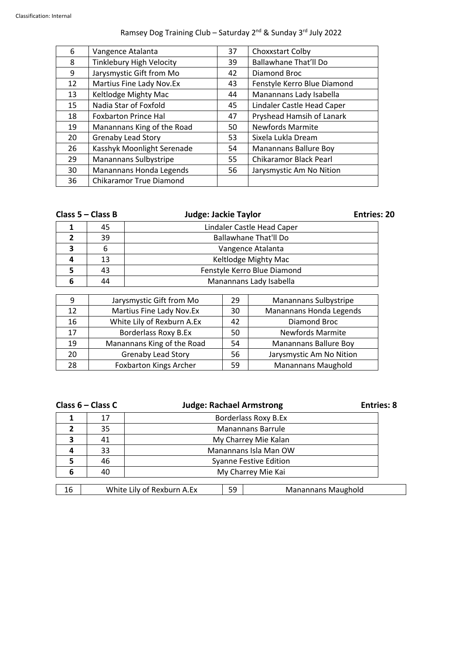## Ramsey Dog Training Club – Saturday 2<sup>nd</sup> & Sunday 3<sup>rd</sup> July 2022

| 6  | Vangence Atalanta               | 37 | Choxxstart Colby             |
|----|---------------------------------|----|------------------------------|
| 8  | <b>Tinklebury High Velocity</b> | 39 | <b>Ballawhane That'll Do</b> |
| 9  | Jarysmystic Gift from Mo        | 42 | Diamond Broc                 |
| 12 | Martius Fine Lady Nov.Ex        | 43 | Fenstyle Kerro Blue Diamond  |
| 13 | Keltlodge Mighty Mac            | 44 | Manannans Lady Isabella      |
| 15 | Nadia Star of Foxfold           | 45 | Lindaler Castle Head Caper   |
| 18 | <b>Foxbarton Prince Hal</b>     | 47 | Pryshead Hamsih of Lanark    |
| 19 | Manannans King of the Road      | 50 | <b>Newfords Marmite</b>      |
| 20 | <b>Grenaby Lead Story</b>       | 53 | Sixela Lukla Dream           |
| 26 | Kasshyk Moonlight Serenade      | 54 | Manannans Ballure Boy        |
| 29 | Manannans Sulbystripe           | 55 | Chikaramor Black Pearl       |
| 30 | Manannans Honda Legends         | 56 | Jarysmystic Am No Nition     |
| 36 | <b>Chikaramor True Diamond</b>  |    |                              |

| Class $5 - Class B$ |    | <b>Judge: Jackie Taylor</b>  | <b>Entries: 20</b> |  |  |
|---------------------|----|------------------------------|--------------------|--|--|
|                     | 45 | Lindaler Castle Head Caper   |                    |  |  |
|                     | 39 | <b>Ballawhane That'll Do</b> |                    |  |  |
| 3                   |    | Vangence Atalanta            |                    |  |  |
|                     | 13 | Keltlodge Mighty Mac         |                    |  |  |
|                     | 43 | Fenstyle Kerro Blue Diamond  |                    |  |  |
|                     | 44 | Manannans Lady Isabella      |                    |  |  |
|                     |    |                              |                    |  |  |

| 9  | Jarysmystic Gift from Mo      | 29 | <b>Manannans Sulbystripe</b> |
|----|-------------------------------|----|------------------------------|
| 12 | Martius Fine Lady Nov.Ex      | 30 | Manannans Honda Legends      |
| 16 | White Lily of Rexburn A.Ex    | 42 | Diamond Broc                 |
| 17 | Borderlass Roxy B.Ex          | 50 | <b>Newfords Marmite</b>      |
| 19 | Manannans King of the Road    | 54 | <b>Manannans Ballure Boy</b> |
| 20 | <b>Grenaby Lead Story</b>     | 56 | Jarysmystic Am No Nition     |
| 28 | <b>Foxbarton Kings Archer</b> | 59 | <b>Manannans Maughold</b>    |

| Class $6 - Class C$<br><b>Judge: Rachael Armstrong</b> |    |                                                        |  |  | <b>Entries: 8</b> |  |  |
|--------------------------------------------------------|----|--------------------------------------------------------|--|--|-------------------|--|--|
|                                                        | 17 | Borderlass Roxy B.Ex                                   |  |  |                   |  |  |
|                                                        | 35 | <b>Manannans Barrule</b>                               |  |  |                   |  |  |
| 3                                                      | 41 | My Charrey Mie Kalan                                   |  |  |                   |  |  |
|                                                        | 33 | Manannans Isla Man OW                                  |  |  |                   |  |  |
|                                                        | 46 | <b>Syanne Festive Edition</b>                          |  |  |                   |  |  |
| 6                                                      | 40 | My Charrey Mie Kai                                     |  |  |                   |  |  |
| 16                                                     |    |                                                        |  |  |                   |  |  |
|                                                        |    | White Lily of Rexburn A.Ex<br>59<br>Manannans Maughold |  |  |                   |  |  |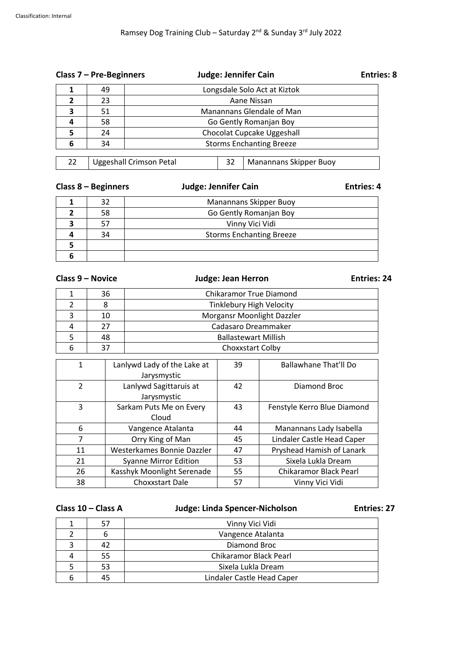| Class $7$ – Pre-Beginners  |    |                                                                       | <b>Judge: Jennifer Cain</b> |  |  |  |  |
|----------------------------|----|-----------------------------------------------------------------------|-----------------------------|--|--|--|--|
|                            | 49 | Longsdale Solo Act at Kiztok                                          |                             |  |  |  |  |
| $\boldsymbol{\mathcal{P}}$ | 23 | Aane Nissan                                                           |                             |  |  |  |  |
| 3                          | 51 | Manannans Glendale of Man                                             |                             |  |  |  |  |
| Δ                          | 58 | Go Gently Romanjan Boy                                                |                             |  |  |  |  |
|                            | 24 | Chocolat Cupcake Uggeshall                                            |                             |  |  |  |  |
| 6                          | 34 | <b>Storms Enchanting Breeze</b>                                       |                             |  |  |  |  |
|                            |    |                                                                       |                             |  |  |  |  |
| 22                         |    | <b>Uggeshall Crimson Petal</b><br>32<br><b>Manannans Skipper Buoy</b> |                             |  |  |  |  |

| Class $8 -$ Beginners | <b>Judge: Jennifer Cain</b> | <b>Entries: 4</b> |
|-----------------------|-----------------------------|-------------------|
|                       |                             |                   |

|   | 32 | <b>Manannans Skipper Buoy</b>   |
|---|----|---------------------------------|
|   | 58 | Go Gently Romanjan Boy          |
|   |    | Vinny Vici Vidi                 |
|   | 34 | <b>Storms Enchanting Breeze</b> |
|   |    |                                 |
| n |    |                                 |

### **Class 9 – Novice Judge: Jean Herron Entries: 24**

| 36 | <b>Chikaramor True Diamond</b>  |  |  |
|----|---------------------------------|--|--|
|    | <b>Tinklebury High Velocity</b> |  |  |
| 10 | Morgansr Moonlight Dazzler      |  |  |
| 77 | Cadasaro Dreammaker             |  |  |
| 48 | <b>Ballastewart Millish</b>     |  |  |
|    | Choxxstart Colby                |  |  |

| 1             | Lanlywd Lady of the Lake at  | 39 | Ballawhane That'll Do       |
|---------------|------------------------------|----|-----------------------------|
|               | Jarysmystic                  |    |                             |
| $\mathcal{P}$ | Lanlywd Sagittaruis at       | 42 | Diamond Broc                |
|               | Jarysmystic                  |    |                             |
| 3             | Sarkam Puts Me on Every      | 43 | Fenstyle Kerro Blue Diamond |
|               | Cloud                        |    |                             |
| 6             | Vangence Atalanta            | 44 | Manannans Lady Isabella     |
| 7             | Orry King of Man             | 45 | Lindaler Castle Head Caper  |
| 11            | Westerkames Bonnie Dazzler   | 47 | Pryshead Hamish of Lanark   |
| 21            | <b>Syanne Mirror Edition</b> | 53 | Sixela Lukla Dream          |
| 26            | Kasshyk Moonlight Serenade   | 55 | Chikaramor Black Pearl      |
| 38            | <b>Choxxstart Dale</b>       | 57 | Vinny Vici Vidi             |

### **Class 10 – Class A Judge: Linda Spencer-Nicholson Entries: 27**

|   | 57 | Vinny Vici Vidi            |  |  |
|---|----|----------------------------|--|--|
|   |    | Vangence Atalanta          |  |  |
|   | 42 | Diamond Broc               |  |  |
|   | 55 | Chikaramor Black Pearl     |  |  |
|   | 53 | Sixela Lukla Dream         |  |  |
| b | 45 | Lindaler Castle Head Caper |  |  |